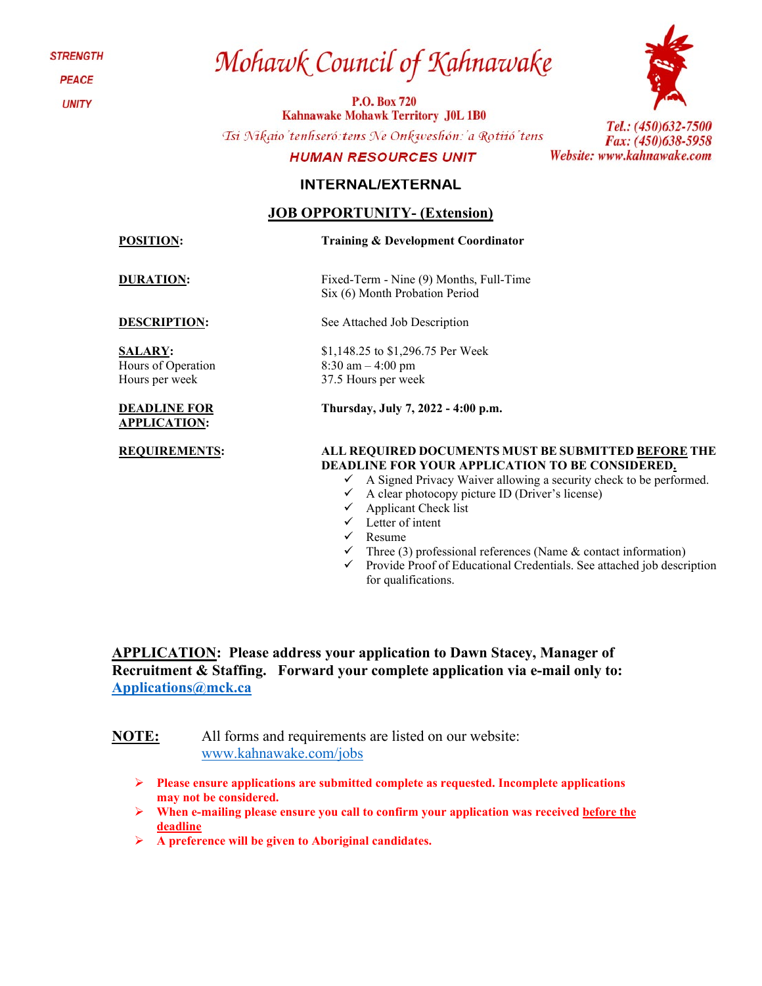**STRENGTH** 

**PEACE** 

**UNITY** 

# Mohawk Council of Kahnawake

**P.O. Box 720 Kahnawake Mohawk Territory J0L 1B0** 

Tsi Nikaio'tenhseró: tens Ne Onkweshón: 'a Rotiió'tens

#### **HUMAN RESOURCES UNIT**

### Tel.: (450)632-7500 Fax: (450)638-5958 Website: www.kahnawake.com

### **INTERNAL/EXTERNAL**

### **JOB OPPORTUNITY- (Extension)**

**POSITION: Training & Development Coordinator**

**DURATION:** Fixed-Term - Nine (9) Months, Full-Time Six (6) Month Probation Period

**DESCRIPTION:** See Attached Job Description

**SALARY:**  Hours of Operation Hours per week

#### **DEADLINE FOR APPLICATION:**

\$1,148.25 to \$1,296.75 Per Week 8:30 am – 4:00 pm 37.5 Hours per week

**Thursday, July 7, 2022 - 4:00 p.m.**

#### **REQUIREMENTS: ALL REQUIRED DOCUMENTS MUST BE SUBMITTED BEFORE THE DEADLINE FOR YOUR APPLICATION TO BE CONSIDERED.**

- $\checkmark$  A Signed Privacy Waiver allowing a security check to be performed.
- $\checkmark$  A clear photocopy picture ID (Driver's license)
- $\checkmark$  Applicant Check list
- $\checkmark$  Letter of intent
- $\checkmark$  Resume
- Three (3) professional references (Name & contact information)
- $\checkmark$  Provide Proof of Educational Credentials. See attached job description for qualifications.

**APPLICATION: Please address your application to Dawn Stacey, Manager of Recruitment & Staffing. Forward your complete application via e-mail only to: [Applications@mck.ca](mailto:Applications@mck.ca)**

**NOTE:** All forms and requirements are listed on our website: [www.kahnawake.com/jobs](http://www.kahnawake.com/jobs)

- **Please ensure applications are submitted complete as requested. Incomplete applications may not be considered.**
- **When e-mailing please ensure you call to confirm your application was received before the deadline**
- **A preference will be given to Aboriginal candidates.**

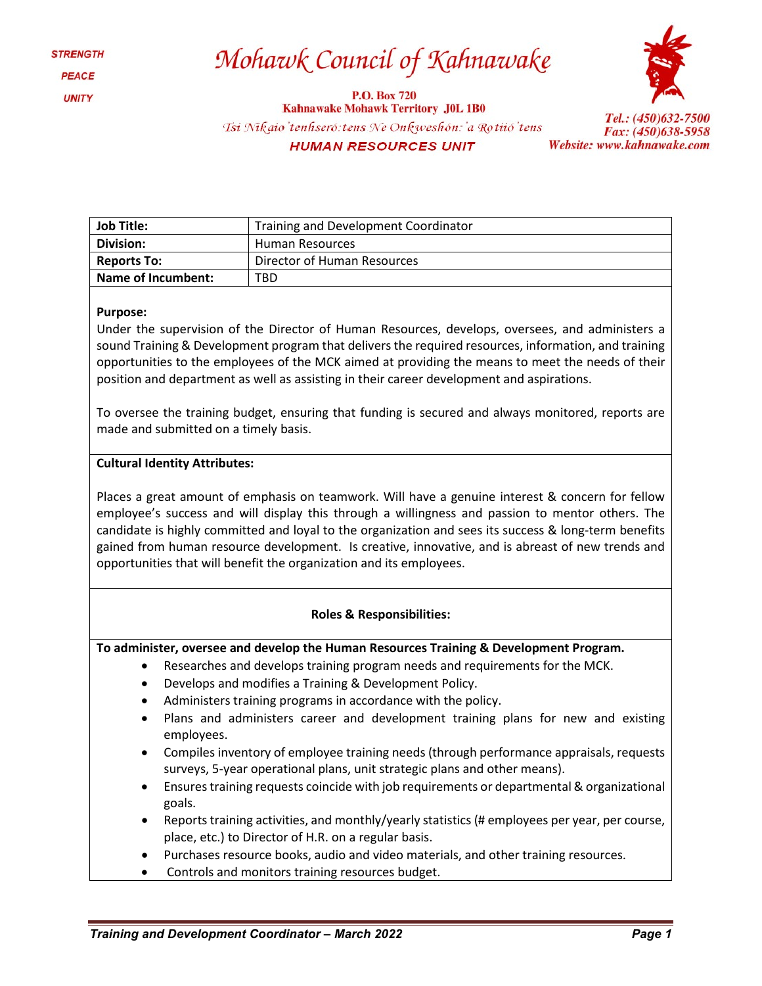### Mohawk Council of Kahnawake

**P.O. Box 720 Kahnawake Mohawk Territory J0L 1B0** Tsi Nikaio'tenhseró: tens Ne Onkweshón: 'a Rotiió' tens **HUMAN RESOURCES UNIT** 



Tel.: (450)632-7500 Fax: (450)638-5958 Website: www.kahnawake.com

| <b>Job Title:</b>  | Training and Development Coordinator |  |  |
|--------------------|--------------------------------------|--|--|
| Division:          | <b>Human Resources</b>               |  |  |
| <b>Reports To:</b> | Director of Human Resources          |  |  |
| Name of Incumbent: | TBD                                  |  |  |

#### **Purpose:**

Under the supervision of the Director of Human Resources, develops, oversees, and administers a sound Training & Development program that delivers the required resources, information, and training opportunities to the employees of the MCK aimed at providing the means to meet the needs of their position and department as well as assisting in their career development and aspirations.

To oversee the training budget, ensuring that funding is secured and always monitored, reports are made and submitted on a timely basis.

#### **Cultural Identity Attributes:**

Places a great amount of emphasis on teamwork. Will have a genuine interest & concern for fellow employee's success and will display this through a willingness and passion to mentor others. The candidate is highly committed and loyal to the organization and sees its success & long-term benefits gained from human resource development. Is creative, innovative, and is abreast of new trends and opportunities that will benefit the organization and its employees.

#### **Roles & Responsibilities:**

**To administer, oversee and develop the Human Resources Training & Development Program.**

- Researches and develops training program needs and requirements for the MCK.
- Develops and modifies a Training & Development Policy.
- Administers training programs in accordance with the policy.
- Plans and administers career and development training plans for new and existing employees.
- Compiles inventory of employee training needs (through performance appraisals, requests surveys, 5-year operational plans, unit strategic plans and other means).
- Ensures training requests coincide with job requirements or departmental & organizational goals.
- Reports training activities, and monthly/yearly statistics (# employees per year, per course, place, etc.) to Director of H.R. on a regular basis.
- Purchases resource books, audio and video materials, and other training resources.
- Controls and monitors training resources budget.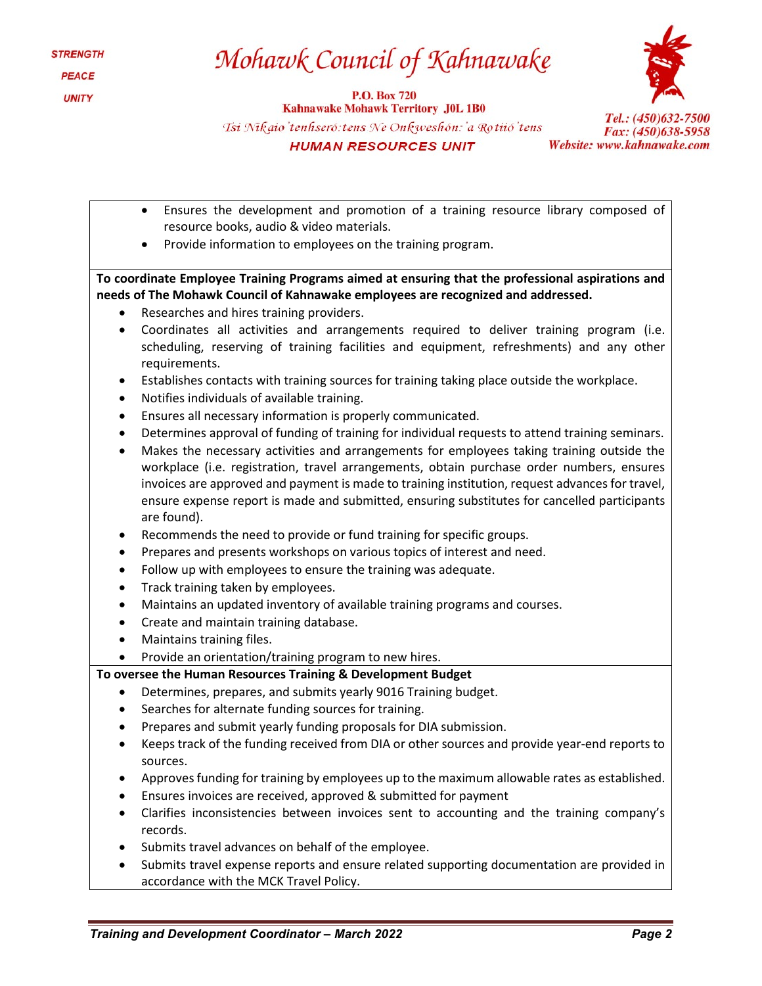## Mohawk Council of Kahnawake

**P.O. Box 720 Kahnawake Mohawk Territory J0L 1B0** Tsi Nikaio'tenhseró: tens Ne Onkweshón: 'a Rotiió'tens **HUMAN RESOURCES UNIT** 



- Ensures the development and promotion of a training resource library composed of resource books, audio & video materials.
- Provide information to employees on the training program.

**To coordinate Employee Training Programs aimed at ensuring that the professional aspirations and needs of The Mohawk Council of Kahnawake employees are recognized and addressed.**

- Researches and hires training providers.
- Coordinates all activities and arrangements required to deliver training program (i.e. scheduling, reserving of training facilities and equipment, refreshments) and any other requirements.
- Establishes contacts with training sources for training taking place outside the workplace.
- Notifies individuals of available training.
- Ensures all necessary information is properly communicated.
- Determines approval of funding of training for individual requests to attend training seminars.
- Makes the necessary activities and arrangements for employees taking training outside the workplace (i.e. registration, travel arrangements, obtain purchase order numbers, ensures invoices are approved and payment is made to training institution, request advances for travel, ensure expense report is made and submitted, ensuring substitutes for cancelled participants are found).
- Recommends the need to provide or fund training for specific groups.
- Prepares and presents workshops on various topics of interest and need.
- Follow up with employees to ensure the training was adequate.
- Track training taken by employees.
- Maintains an updated inventory of available training programs and courses.
- Create and maintain training database.
- Maintains training files.
- Provide an orientation/training program to new hires.

### **To oversee the Human Resources Training & Development Budget**

- Determines, prepares, and submits yearly 9016 Training budget.
- Searches for alternate funding sources for training.
- Prepares and submit yearly funding proposals for DIA submission.
- Keeps track of the funding received from DIA or other sources and provide year-end reports to sources.
- Approves funding for training by employees up to the maximum allowable rates as established.
- Ensures invoices are received, approved & submitted for payment
- Clarifies inconsistencies between invoices sent to accounting and the training company's records.
- Submits travel advances on behalf of the employee.
- Submits travel expense reports and ensure related supporting documentation are provided in accordance with the MCK Travel Policy.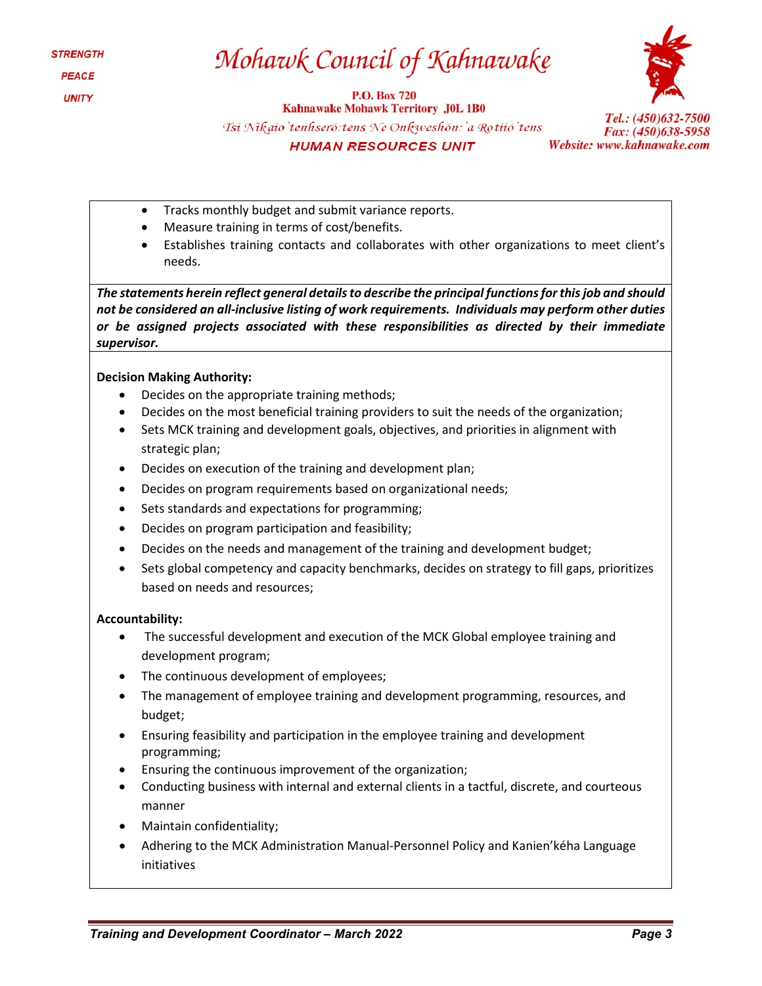## Mohawk Council of Kahnawake

**P.O. Box 720 Kahnawake Mohawk Territory J0L 1B0** Tsi Nikaio'tenhseró: tens Ne Onkweshón: 'a Rotiió'tens **HUMAN RESOURCES UNIT** 



Tel.: (450)632-7500 Fax: (450)638-5958 Website: www.kahnawake.com

- Tracks monthly budget and submit variance reports.
- Measure training in terms of cost/benefits.
- Establishes training contacts and collaborates with other organizations to meet client's needs.

*The statements herein reflect general details to describe the principal functions for this job and should not be considered an all-inclusive listing of work requirements. Individuals may perform other duties or be assigned projects associated with these responsibilities as directed by their immediate supervisor.*

#### **Decision Making Authority:**

- Decides on the appropriate training methods;
- Decides on the most beneficial training providers to suit the needs of the organization;
- Sets MCK training and development goals, objectives, and priorities in alignment with strategic plan;
- Decides on execution of the training and development plan;
- Decides on program requirements based on organizational needs;
- Sets standards and expectations for programming;
- Decides on program participation and feasibility;
- Decides on the needs and management of the training and development budget;
- Sets global competency and capacity benchmarks, decides on strategy to fill gaps, prioritizes based on needs and resources;

#### **Accountability:**

- The successful development and execution of the MCK Global employee training and development program;
- The continuous development of employees;
- The management of employee training and development programming, resources, and budget;
- Ensuring feasibility and participation in the employee training and development programming;
- Ensuring the continuous improvement of the organization;
- Conducting business with internal and external clients in a tactful, discrete, and courteous manner
- Maintain confidentiality;
- Adhering to the MCK Administration Manual-Personnel Policy and Kanien'kéha Language initiatives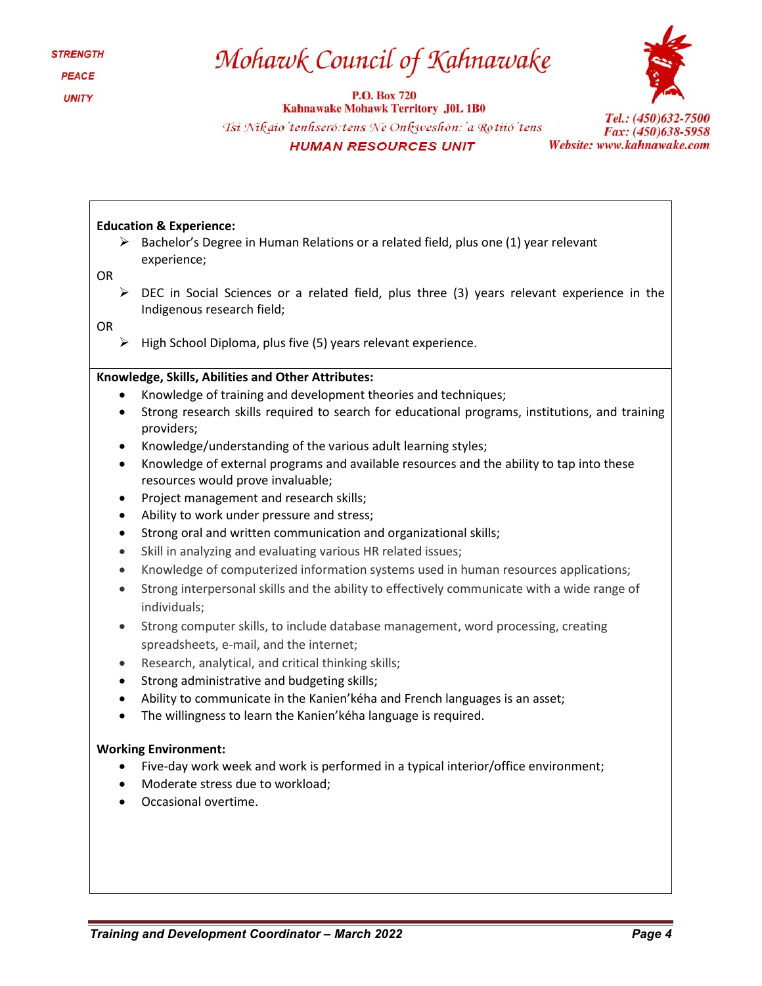## Mohawk Council of Kahnawake

**P.O. Box 720** 



**Kahnawake Mohawk Territory J0L 1B0** Tsi Nikaio'tenhseró: tens Ne Onkweshón: 'a Rotiió'tens **HUMAN RESOURCES UNIT** 

Tel.: (450)632-7500 Fax: (450)638-5958 Website: www.kahnawake.com

#### **Education & Experience:**

 $\triangleright$  Bachelor's Degree in Human Relations or a related field, plus one (1) year relevant experience;

OR

 $\triangleright$  DEC in Social Sciences or a related field, plus three (3) years relevant experience in the Indigenous research field;

OR

 $\triangleright$  High School Diploma, plus five (5) years relevant experience.

#### **Knowledge, Skills, Abilities and Other Attributes:**

- Knowledge of training and development theories and techniques;
- Strong research skills required to search for educational programs, institutions, and training providers;
- Knowledge/understanding of the various adult learning styles;
- Knowledge of external programs and available resources and the ability to tap into these resources would prove invaluable;
- Project management and research skills;
- Ability to work under pressure and stress;
- Strong oral and written communication and organizational skills;
- Skill in analyzing and evaluating various HR related issues;
- Knowledge of computerized information systems used in human resources applications;
- Strong interpersonal skills and the ability to effectively communicate with a wide range of individuals;
- Strong computer skills, to include database management, word processing, creating spreadsheets, e-mail, and the internet;
- Research, analytical, and critical thinking skills;
- Strong administrative and budgeting skills;
- Ability to communicate in the Kanien'kéha and French languages is an asset;
- The willingness to learn the Kanien'kéha language is required.

#### **Working Environment:**

- Five-day work week and work is performed in a typical interior/office environment;
- Moderate stress due to workload;
- Occasional overtime.